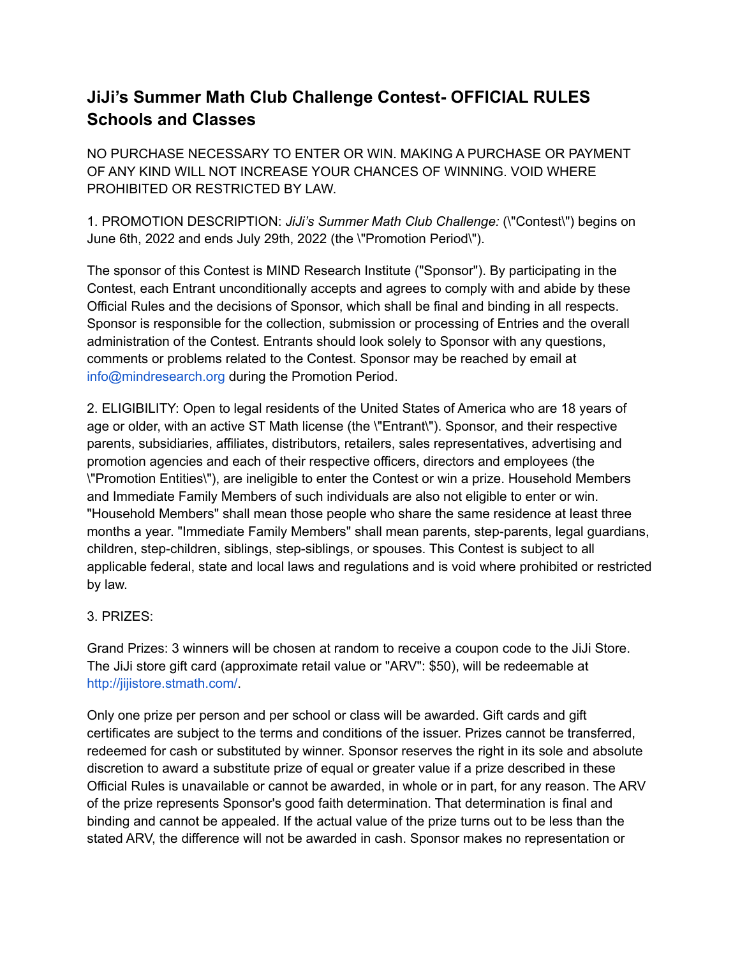## **JiJi's Summer Math Club Challenge Contest- OFFICIAL RULES Schools and Classes**

NO PURCHASE NECESSARY TO ENTER OR WIN. MAKING A PURCHASE OR PAYMENT OF ANY KIND WILL NOT INCREASE YOUR CHANCES OF WINNING. VOID WHERE PROHIBITED OR RESTRICTED BY LAW.

1. PROMOTION DESCRIPTION: *JiJi's Summer Math Club Challenge:* (\"Contest\") begins on June 6th, 2022 and ends July 29th, 2022 (the \"Promotion Period\").

The sponsor of this Contest is MIND Research Institute ("Sponsor"). By participating in the Contest, each Entrant unconditionally accepts and agrees to comply with and abide by these Official Rules and the decisions of Sponsor, which shall be final and binding in all respects. Sponsor is responsible for the collection, submission or processing of Entries and the overall administration of the Contest. Entrants should look solely to Sponsor with any questions, comments or problems related to the Contest. Sponsor may be reached by email at info@mindresearch.org during the Promotion Period.

2. ELIGIBILITY: Open to legal residents of the United States of America who are 18 years of age or older, with an active ST Math license (the \"Entrant\"). Sponsor, and their respective parents, subsidiaries, affiliates, distributors, retailers, sales representatives, advertising and promotion agencies and each of their respective officers, directors and employees (the \"Promotion Entities\"), are ineligible to enter the Contest or win a prize. Household Members and Immediate Family Members of such individuals are also not eligible to enter or win. "Household Members" shall mean those people who share the same residence at least three months a year. "Immediate Family Members" shall mean parents, step-parents, legal guardians, children, step-children, siblings, step-siblings, or spouses. This Contest is subject to all applicable federal, state and local laws and regulations and is void where prohibited or restricted by law.

## 3. PRIZES:

Grand Prizes: 3 winners will be chosen at random to receive a coupon code to the JiJi Store. The JiJi store gift card (approximate retail value or "ARV": \$50), will be redeemable at http://jijistore.stmath.com/.

Only one prize per person and per school or class will be awarded. Gift cards and gift certificates are subject to the terms and conditions of the issuer. Prizes cannot be transferred, redeemed for cash or substituted by winner. Sponsor reserves the right in its sole and absolute discretion to award a substitute prize of equal or greater value if a prize described in these Official Rules is unavailable or cannot be awarded, in whole or in part, for any reason. The ARV of the prize represents Sponsor's good faith determination. That determination is final and binding and cannot be appealed. If the actual value of the prize turns out to be less than the stated ARV, the difference will not be awarded in cash. Sponsor makes no representation or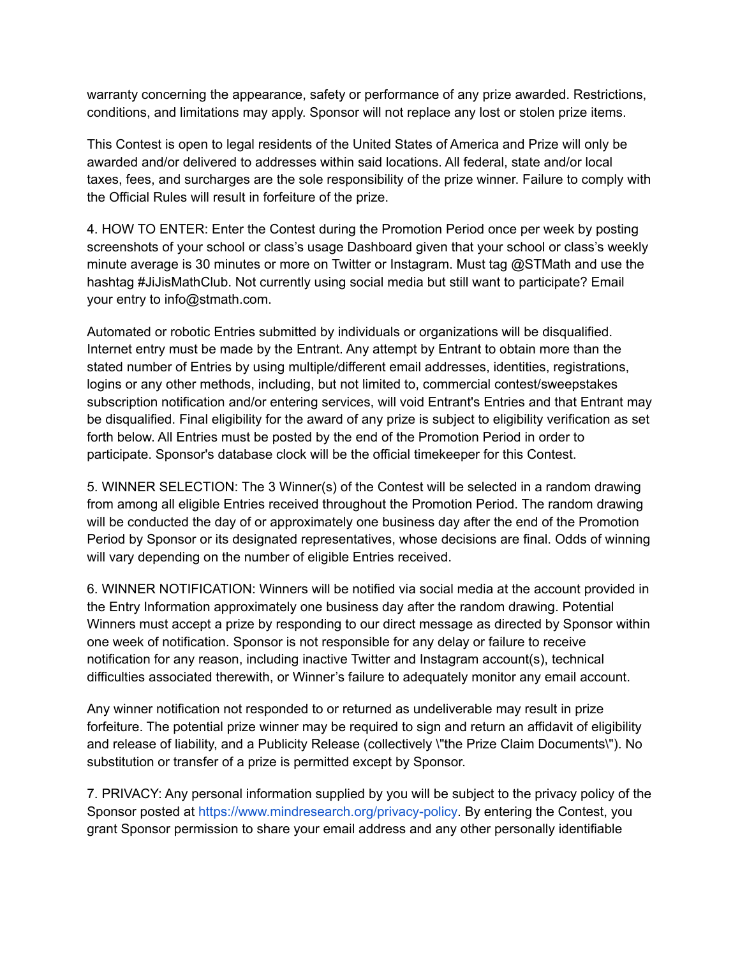warranty concerning the appearance, safety or performance of any prize awarded. Restrictions, conditions, and limitations may apply. Sponsor will not replace any lost or stolen prize items.

This Contest is open to legal residents of the United States of America and Prize will only be awarded and/or delivered to addresses within said locations. All federal, state and/or local taxes, fees, and surcharges are the sole responsibility of the prize winner. Failure to comply with the Official Rules will result in forfeiture of the prize.

4. HOW TO ENTER: Enter the Contest during the Promotion Period once per week by posting screenshots of your school or class's usage Dashboard given that your school or class's weekly minute average is 30 minutes or more on Twitter or Instagram. Must tag @STMath and use the hashtag #JiJisMathClub. Not currently using social media but still want to participate? Email your entry to info@stmath.com.

Automated or robotic Entries submitted by individuals or organizations will be disqualified. Internet entry must be made by the Entrant. Any attempt by Entrant to obtain more than the stated number of Entries by using multiple/different email addresses, identities, registrations, logins or any other methods, including, but not limited to, commercial contest/sweepstakes subscription notification and/or entering services, will void Entrant's Entries and that Entrant may be disqualified. Final eligibility for the award of any prize is subject to eligibility verification as set forth below. All Entries must be posted by the end of the Promotion Period in order to participate. Sponsor's database clock will be the official timekeeper for this Contest.

5. WINNER SELECTION: The 3 Winner(s) of the Contest will be selected in a random drawing from among all eligible Entries received throughout the Promotion Period. The random drawing will be conducted the day of or approximately one business day after the end of the Promotion Period by Sponsor or its designated representatives, whose decisions are final. Odds of winning will vary depending on the number of eligible Entries received.

6. WINNER NOTIFICATION: Winners will be notified via social media at the account provided in the Entry Information approximately one business day after the random drawing. Potential Winners must accept a prize by responding to our direct message as directed by Sponsor within one week of notification. Sponsor is not responsible for any delay or failure to receive notification for any reason, including inactive Twitter and Instagram account(s), technical difficulties associated therewith, or Winner's failure to adequately monitor any email account.

Any winner notification not responded to or returned as undeliverable may result in prize forfeiture. The potential prize winner may be required to sign and return an affidavit of eligibility and release of liability, and a Publicity Release (collectively \"the Prize Claim Documents\"). No substitution or transfer of a prize is permitted except by Sponsor.

7. PRIVACY: Any personal information supplied by you will be subject to the privacy policy of the Sponsor posted at https://www.mindresearch.org/privacy-policy. By entering the Contest, you grant Sponsor permission to share your email address and any other personally identifiable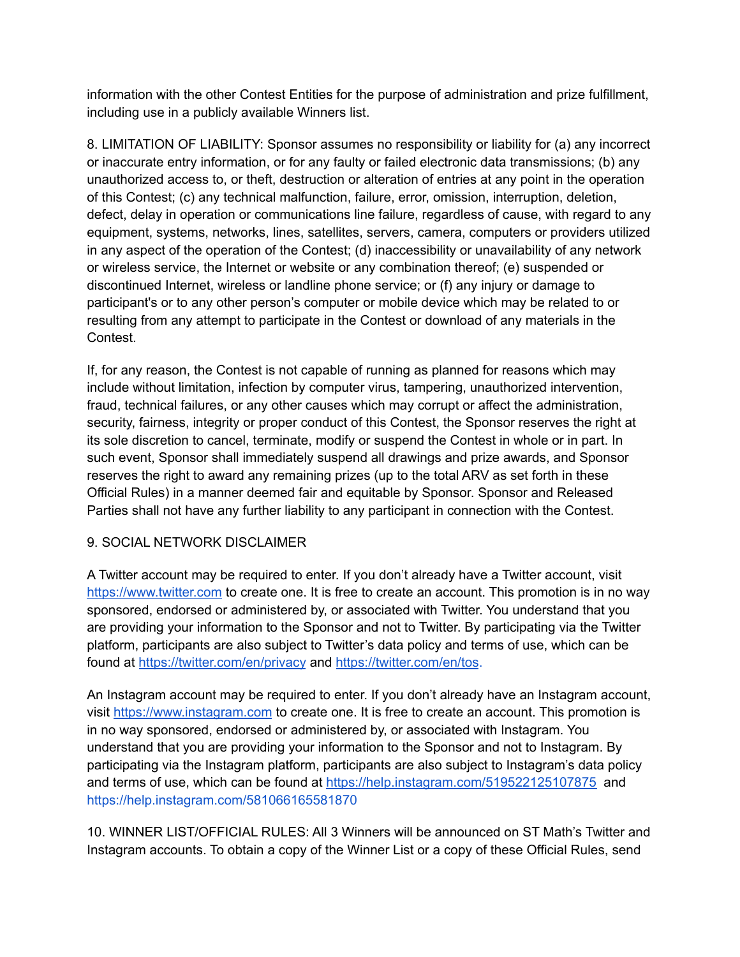information with the other Contest Entities for the purpose of administration and prize fulfillment, including use in a publicly available Winners list.

8. LIMITATION OF LIABILITY: Sponsor assumes no responsibility or liability for (a) any incorrect or inaccurate entry information, or for any faulty or failed electronic data transmissions; (b) any unauthorized access to, or theft, destruction or alteration of entries at any point in the operation of this Contest; (c) any technical malfunction, failure, error, omission, interruption, deletion, defect, delay in operation or communications line failure, regardless of cause, with regard to any equipment, systems, networks, lines, satellites, servers, camera, computers or providers utilized in any aspect of the operation of the Contest; (d) inaccessibility or unavailability of any network or wireless service, the Internet or website or any combination thereof; (e) suspended or discontinued Internet, wireless or landline phone service; or (f) any injury or damage to participant's or to any other person's computer or mobile device which may be related to or resulting from any attempt to participate in the Contest or download of any materials in the Contest.

If, for any reason, the Contest is not capable of running as planned for reasons which may include without limitation, infection by computer virus, tampering, unauthorized intervention, fraud, technical failures, or any other causes which may corrupt or affect the administration, security, fairness, integrity or proper conduct of this Contest, the Sponsor reserves the right at its sole discretion to cancel, terminate, modify or suspend the Contest in whole or in part. In such event, Sponsor shall immediately suspend all drawings and prize awards, and Sponsor reserves the right to award any remaining prizes (up to the total ARV as set forth in these Official Rules) in a manner deemed fair and equitable by Sponsor. Sponsor and Released Parties shall not have any further liability to any participant in connection with the Contest.

## 9. SOCIAL NETWORK DISCLAIMER

A Twitter account may be required to enter. If you don't already have a Twitter account, visit <https://www.twitter.com> to create one. It is free to create an account. This promotion is in no way sponsored, endorsed or administered by, or associated with Twitter. You understand that you are providing your information to the Sponsor and not to Twitter. By participating via the Twitter platform, participants are also subject to Twitter's data policy and terms of use, which can be found at <https://twitter.com/en/privacy> and <https://twitter.com/en/tos>.

An Instagram account may be required to enter. If you don't already have an Instagram account, visit <https://www.instagram.com> to create one. It is free to create an account. This promotion is in no way sponsored, endorsed or administered by, or associated with Instagram. You understand that you are providing your information to the Sponsor and not to Instagram. By participating via the Instagram platform, participants are also subject to Instagram's data policy and terms of use, which can be found at <https://help.instagram.com/519522125107875> and https://help.instagram.com/581066165581870

10. WINNER LIST/OFFICIAL RULES: All 3 Winners will be announced on ST Math's Twitter and Instagram accounts. To obtain a copy of the Winner List or a copy of these Official Rules, send